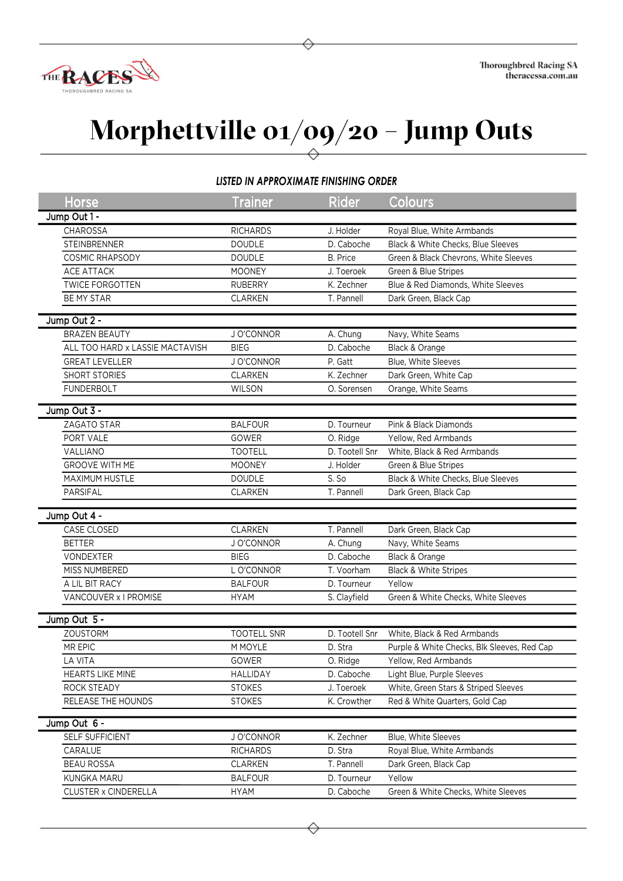

## **Morphettville 01/09/20 – Jump Outs**

## *LISTED IN APPROXIMATE FINISHING ORDER*

| <b>Horse</b>                    | <b>Trainer</b>     | <b>Rider</b>    | Colours                                     |  |  |  |
|---------------------------------|--------------------|-----------------|---------------------------------------------|--|--|--|
| Jump Out 1 -                    |                    |                 |                                             |  |  |  |
| <b>CHAROSSA</b>                 | <b>RICHARDS</b>    | J. Holder       | Royal Blue, White Armbands                  |  |  |  |
| <b>STEINBRENNER</b>             | <b>DOUDLE</b>      | D. Caboche      | Black & White Checks, Blue Sleeves          |  |  |  |
| COSMIC RHAPSODY                 | <b>DOUDLE</b>      | <b>B.</b> Price | Green & Black Chevrons, White Sleeves       |  |  |  |
| ACE ATTACK                      | <b>MOONEY</b>      | J. Toeroek      | Green & Blue Stripes                        |  |  |  |
| <b>TWICE FORGOTTEN</b>          | <b>RUBERRY</b>     | K. Zechner      | Blue & Red Diamonds, White Sleeves          |  |  |  |
| BE MY STAR                      | CLARKEN            | T. Pannell      | Dark Green, Black Cap                       |  |  |  |
| Jump Out 2 -                    |                    |                 |                                             |  |  |  |
| <b>BRAZEN BEAUTY</b>            | J O'CONNOR         | A. Chung        | Navy, White Seams                           |  |  |  |
| ALL TOO HARD x LASSIE MACTAVISH | <b>BIEG</b>        | D. Caboche      | Black & Orange                              |  |  |  |
| <b>GREAT LEVELLER</b>           | J O'CONNOR         | P. Gatt         | Blue, White Sleeves                         |  |  |  |
| SHORT STORIES                   | <b>CLARKEN</b>     | K. Zechner      | Dark Green, White Cap                       |  |  |  |
| <b>FUNDERBOLT</b>               | WILSON             | O. Sorensen     | Orange, White Seams                         |  |  |  |
|                                 |                    |                 |                                             |  |  |  |
| Jump Out 3 -                    |                    |                 |                                             |  |  |  |
| ZAGATO STAR                     | <b>BALFOUR</b>     | D. Tourneur     | Pink & Black Diamonds                       |  |  |  |
| PORT VALE                       | GOWER              | O. Ridge        | Yellow, Red Armbands                        |  |  |  |
| VALLIANO                        | <b>TOOTELL</b>     | D. Tootell Snr  | White, Black & Red Armbands                 |  |  |  |
| <b>GROOVE WITH ME</b>           | <b>MOONEY</b>      | J. Holder       | Green & Blue Stripes                        |  |  |  |
| MAXIMUM HUSTLE                  | <b>DOUDLE</b>      | S. So           | Black & White Checks, Blue Sleeves          |  |  |  |
| PARSIFAL                        | <b>CLARKEN</b>     | T. Pannell      | Dark Green, Black Cap                       |  |  |  |
| Jump Out 4 -                    |                    |                 |                                             |  |  |  |
| CASE CLOSED                     | <b>CLARKEN</b>     | T. Pannell      | Dark Green, Black Cap                       |  |  |  |
| <b>BETTER</b>                   | J O'CONNOR         | A. Chung        | Navy, White Seams                           |  |  |  |
| VONDEXTER                       | <b>BIEG</b>        | D. Caboche      | Black & Orange                              |  |  |  |
| MISS NUMBERED                   | L O'CONNOR         | T. Voorham      | Black & White Stripes                       |  |  |  |
| A LIL BIT RACY                  | <b>BALFOUR</b>     | D. Tourneur     | Yellow                                      |  |  |  |
| VANCOUVER x I PROMISE           | <b>HYAM</b>        | S. Clayfield    | Green & White Checks, White Sleeves         |  |  |  |
| Jump Out 5 -                    |                    |                 |                                             |  |  |  |
| <b>ZOUSTORM</b>                 | <b>TOOTELL SNR</b> | D. Tootell Snr  | White, Black & Red Armbands                 |  |  |  |
| MR EPIC                         | M MOYLE            | D. Stra         | Purple & White Checks, Blk Sleeves, Red Cap |  |  |  |
| LA VITA                         | GOWER              | O. Ridge        | Yellow, Red Armbands                        |  |  |  |
| HEARTS LIKE MINE                | HALLIDAY           | D. Caboche      | Light Blue, Purple Sleeves                  |  |  |  |
| ROCK STEADY                     | <b>STOKES</b>      | J. Toeroek      | White, Green Stars & Striped Sleeves        |  |  |  |
| RELEASE THE HOUNDS              | <b>STOKES</b>      | K. Crowther     | Red & White Quarters, Gold Cap              |  |  |  |
|                                 |                    |                 |                                             |  |  |  |
| Jump Out 6 -                    |                    |                 |                                             |  |  |  |
| SELF SUFFICIENT                 | J O'CONNOR         | K. Zechner      | Blue, White Sleeves                         |  |  |  |
| CARALUE                         | <b>RICHARDS</b>    | D. Stra         | Royal Blue, White Armbands                  |  |  |  |
| <b>BEAU ROSSA</b>               | <b>CLARKEN</b>     | T. Pannell      | Dark Green, Black Cap                       |  |  |  |
| KUNGKA MARU                     | <b>BALFOUR</b>     | D. Tourneur     | Yellow                                      |  |  |  |
| CLUSTER x CINDERELLA            | <b>HYAM</b>        | D. Caboche      | Green & White Checks, White Sleeves         |  |  |  |